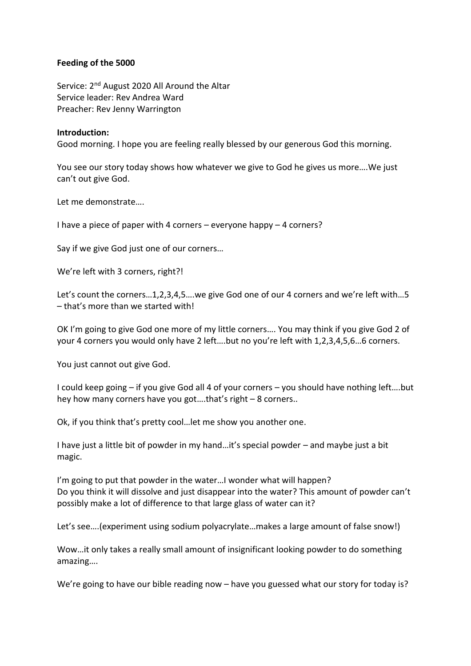## **Feeding of the 5000**

Service: 2<sup>nd</sup> August 2020 All Around the Altar Service leader: Rev Andrea Ward Preacher: Rev Jenny Warrington

## **Introduction:**

Good morning. I hope you are feeling really blessed by our generous God this morning.

You see our story today shows how whatever we give to God he gives us more….We just can't out give God.

Let me demonstrate….

I have a piece of paper with 4 corners – everyone happy – 4 corners?

Say if we give God just one of our corners…

We're left with 3 corners, right?!

Let's count the corners…1,2,3,4,5….we give God one of our 4 corners and we're left with…5 – that's more than we started with!

OK I'm going to give God one more of my little corners…. You may think if you give God 2 of your 4 corners you would only have 2 left….but no you're left with 1,2,3,4,5,6…6 corners.

You just cannot out give God.

I could keep going – if you give God all 4 of your corners – you should have nothing left….but hey how many corners have you got….that's right – 8 corners..

Ok, if you think that's pretty cool…let me show you another one.

I have just a little bit of powder in my hand…it's special powder – and maybe just a bit magic.

I'm going to put that powder in the water…I wonder what will happen? Do you think it will dissolve and just disappear into the water? This amount of powder can't possibly make a lot of difference to that large glass of water can it?

Let's see….(experiment using sodium polyacrylate…makes a large amount of false snow!)

Wow…it only takes a really small amount of insignificant looking powder to do something amazing….

We're going to have our bible reading now – have you guessed what our story for today is?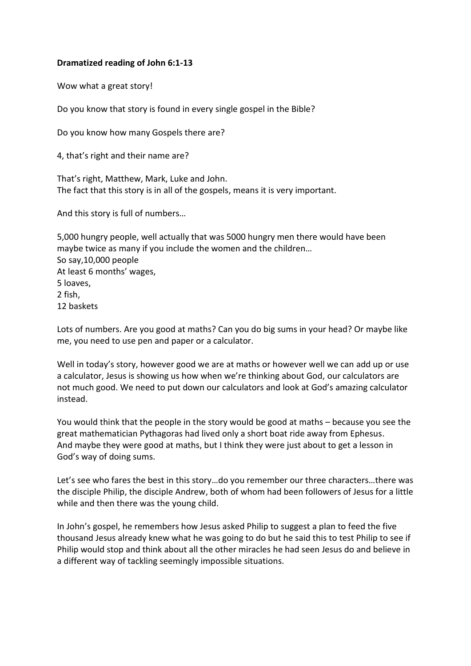## **Dramatized reading of John 6:1-13**

Wow what a great story!

Do you know that story is found in every single gospel in the Bible?

Do you know how many Gospels there are?

4, that's right and their name are?

That's right, Matthew, Mark, Luke and John. The fact that this story is in all of the gospels, means it is very important.

And this story is full of numbers…

5,000 hungry people, well actually that was 5000 hungry men there would have been maybe twice as many if you include the women and the children… So say,10,000 people At least 6 months' wages, 5 loaves, 2 fish, 12 baskets

Lots of numbers. Are you good at maths? Can you do big sums in your head? Or maybe like me, you need to use pen and paper or a calculator.

Well in today's story, however good we are at maths or however well we can add up or use a calculator, Jesus is showing us how when we're thinking about God, our calculators are not much good. We need to put down our calculators and look at God's amazing calculator instead.

You would think that the people in the story would be good at maths – because you see the great mathematician Pythagoras had lived only a short boat ride away from Ephesus. And maybe they were good at maths, but I think they were just about to get a lesson in God's way of doing sums.

Let's see who fares the best in this story…do you remember our three characters…there was the disciple Philip, the disciple Andrew, both of whom had been followers of Jesus for a little while and then there was the young child.

In John's gospel, he remembers how Jesus asked Philip to suggest a plan to feed the five thousand Jesus already knew what he was going to do but he said this to test Philip to see if Philip would stop and think about all the other miracles he had seen Jesus do and believe in a different way of tackling seemingly impossible situations.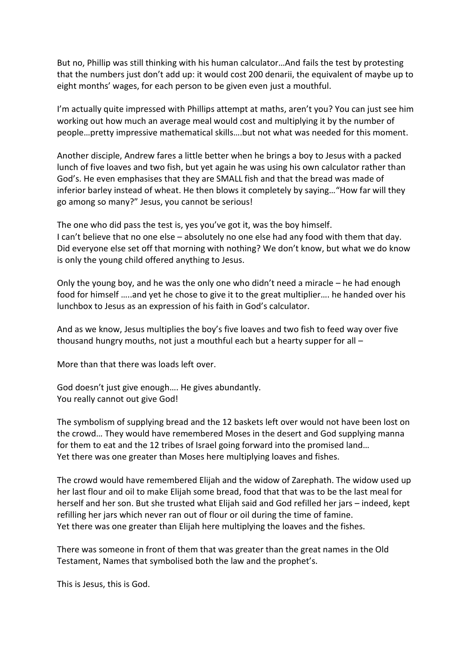But no, Phillip was still thinking with his human calculator…And fails the test by protesting that the numbers just don't add up: it would cost 200 denarii, the equivalent of maybe up to eight months' wages, for each person to be given even just a mouthful.

I'm actually quite impressed with Phillips attempt at maths, aren't you? You can just see him working out how much an average meal would cost and multiplying it by the number of people…pretty impressive mathematical skills….but not what was needed for this moment.

Another disciple, Andrew fares a little better when he brings a boy to Jesus with a packed lunch of five loaves and two fish, but yet again he was using his own calculator rather than God's. He even emphasises that they are SMALL fish and that the bread was made of inferior barley instead of wheat. He then blows it completely by saying…"How far will they go among so many?" Jesus, you cannot be serious!

The one who did pass the test is, yes you've got it, was the boy himself. I can't believe that no one else – absolutely no one else had any food with them that day. Did everyone else set off that morning with nothing? We don't know, but what we do know is only the young child offered anything to Jesus.

Only the young boy, and he was the only one who didn't need a miracle – he had enough food for himself …..and yet he chose to give it to the great multiplier…. he handed over his lunchbox to Jesus as an expression of his faith in God's calculator.

And as we know, Jesus multiplies the boy's five loaves and two fish to feed way over five thousand hungry mouths, not just a mouthful each but a hearty supper for all –

More than that there was loads left over.

God doesn't just give enough…. He gives abundantly. You really cannot out give God!

The symbolism of supplying bread and the 12 baskets left over would not have been lost on the crowd… They would have remembered Moses in the desert and God supplying manna for them to eat and the 12 tribes of Israel going forward into the promised land… Yet there was one greater than Moses here multiplying loaves and fishes.

The crowd would have remembered Elijah and the widow of Zarephath. The widow used up her last flour and oil to make Elijah some bread, food that that was to be the last meal for herself and her son. But she trusted what Elijah said and God refilled her jars – indeed, kept refilling her jars which never ran out of flour or oil during the time of famine. Yet there was one greater than Elijah here multiplying the loaves and the fishes.

There was someone in front of them that was greater than the great names in the Old Testament, Names that symbolised both the law and the prophet's.

This is Jesus, this is God.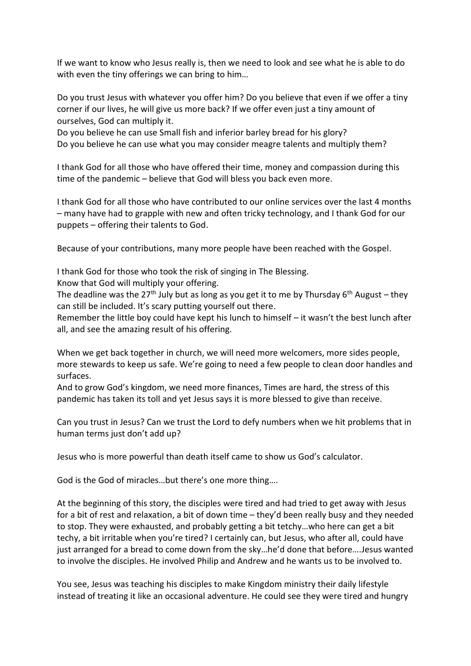If we want to know who Jesus really is, then we need to look and see what he is able to do with even the tiny offerings we can bring to him...

Do you trust Jesus with whatever you offer him? Do you believe that even if we offer a tiny corner if our lives, he will give us more back? If we offer even just a tiny amount of ourselves, God can multiply it.

Do you believe he can use Small fish and inferior barley bread for his glory? Do you believe he can use what you may consider meagre talents and multiply them?

I thank God for all those who have offered their time, money and compassion during this time of the pandemic – believe that God will bless you back even more.

I thank God for all those who have contributed to our online services over the last 4 months – many have had to grapple with new and often tricky technology, and I thank God for our puppets – offering their talents to God.

Because of your contributions, many more people have been reached with the Gospel.

I thank God for those who took the risk of singing in The Blessing.

Know that God will multiply your offering.

The deadline was the 27<sup>th</sup> July but as long as you get it to me by Thursday 6<sup>th</sup> August – they can still be included. It's scary putting yourself out there.

Remember the little boy could have kept his lunch to himself – it wasn't the best lunch after all, and see the amazing result of his offering.

When we get back together in church, we will need more welcomers, more sides people, more stewards to keep us safe. We're going to need a few people to clean door handles and surfaces.

And to grow God's kingdom, we need more finances, Times are hard, the stress of this pandemic has taken its toll and yet Jesus says it is more blessed to give than receive.

Can you trust in Jesus? Can we trust the Lord to defy numbers when we hit problems that in human terms just don't add up?

Jesus who is more powerful than death itself came to show us God's calculator.

God is the God of miracles…but there's one more thing….

At the beginning of this story, the disciples were tired and had tried to get away with Jesus for a bit of rest and relaxation, a bit of down time – they'd been really busy and they needed to stop. They were exhausted, and probably getting a bit tetchy…who here can get a bit techy, a bit irritable when you're tired? I certainly can, but Jesus, who after all, could have just arranged for a bread to come down from the sky…he'd done that before….Jesus wanted to involve the disciples. He involved Philip and Andrew and he wants us to be involved to.

You see, Jesus was teaching his disciples to make Kingdom ministry their daily lifestyle instead of treating it like an occasional adventure. He could see they were tired and hungry